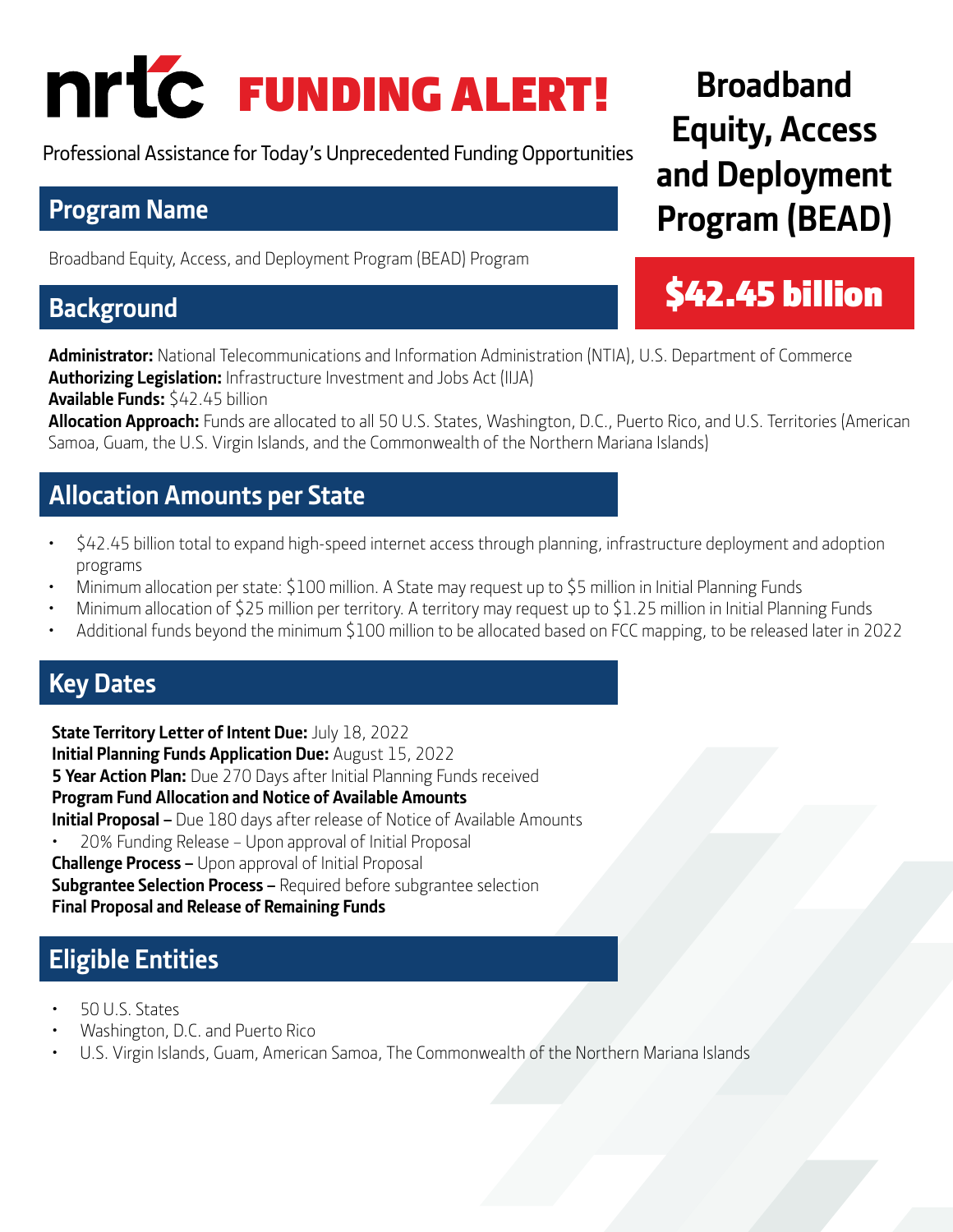# FUNDING ALERT!

Professional Assistance for Today's Unprecedented Funding Opportunities

## **Program Name**

Broadband Equity, Access, and Deployment Program (BEAD) Program

## **Background**

**Administrator:** National Telecommunications and Information Administration (NTIA), U.S. Department of Commerce **Authorizing Legislation:** Infrastructure Investment and Jobs Act (IIJA) **Available Funds:** \$42.45 billion

**Allocation Approach:** Funds are allocated to all 50 U.S. States, Washington, D.C., Puerto Rico, and U.S. Territories (American Samoa, Guam, the U.S. Virgin Islands, and the Commonwealth of the Northern Mariana Islands)

## **Allocation Amounts per State**

- \$42.45 billion total to expand high-speed internet access through planning, infrastructure deployment and adoption programs
- Minimum allocation per state: \$100 million. A State may request up to \$5 million in Initial Planning Funds
- Minimum allocation of \$25 million per territory. A territory may request up to \$1.25 million in Initial Planning Funds
- Additional funds beyond the minimum \$100 million to be allocated based on FCC mapping, to be released later in 2022

## **Key Dates**

**State Territory Letter of Intent Due:** July 18, 2022 **Initial Planning Funds Application Due:** August 15, 2022 **5 Year Action Plan:** Due 270 Days after Initial Planning Funds received **Program Fund Allocation and Notice of Available Amounts Initial Proposal –** Due 180 days after release of Notice of Available Amounts • 20% Funding Release – Upon approval of Initial Proposal **Challenge Process –** Upon approval of Initial Proposal **Subgrantee Selection Process –** Required before subgrantee selection **Final Proposal and Release of Remaining Funds** 

## **Eligible Entities**

- 50 U.S. States
- Washington, D.C. and Puerto Rico
- U.S. Virgin Islands, Guam, American Samoa, The Commonwealth of the Northern Mariana Islands

## **Broadband Equity, Access and Deployment Program (BEAD)**

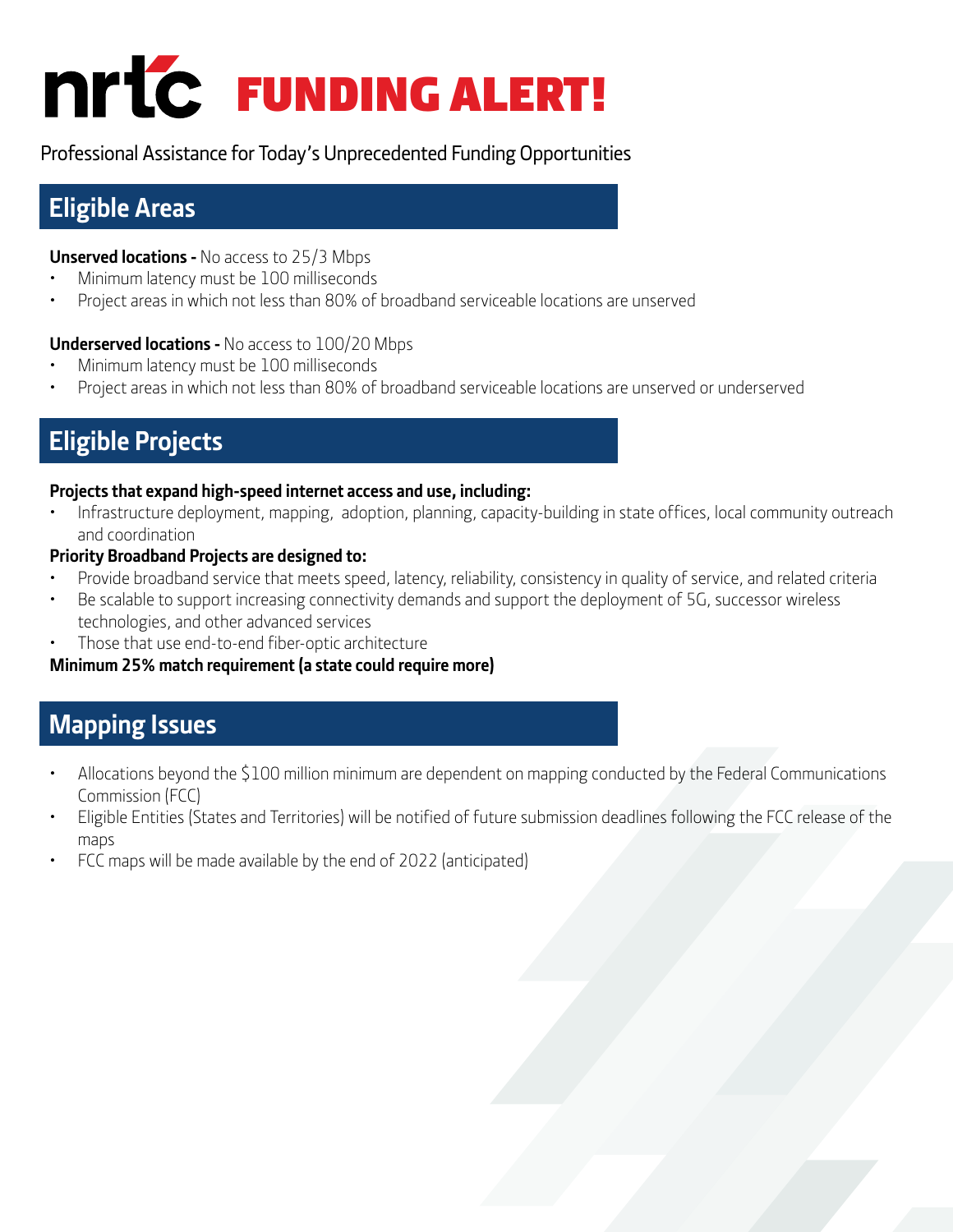

Professional Assistance for Today's Unprecedented Funding Opportunities

## **Eligible Areas**

#### **Unserved locations -** No access to 25/3 Mbps

- Minimum latency must be 100 milliseconds
- Project areas in which not less than 80% of broadband serviceable locations are unserved

#### **Underserved locations -** No access to 100/20 Mbps

- Minimum latency must be 100 milliseconds
- Project areas in which not less than 80% of broadband serviceable locations are unserved or underserved

## **Eligible Projects**

#### **Projects that expand high-speed internet access and use, including:**

• Infrastructure deployment, mapping, adoption, planning, capacity-building in state offices, local community outreach and coordination

#### **Priority Broadband Projects are designed to:**

- Provide broadband service that meets speed, latency, reliability, consistency in quality of service, and related criteria
- Be scalable to support increasing connectivity demands and support the deployment of 5G, successor wireless technologies, and other advanced services
- Those that use end-to-end fiber-optic architecture

#### **Minimum 25% match requirement (a state could require more)**

## **Mapping Issues**

- Allocations beyond the \$100 million minimum are dependent on mapping conducted by the Federal Communications Commission (FCC)
- Eligible Entities (States and Territories) will be notified of future submission deadlines following the FCC release of the maps
- FCC maps will be made available by the end of 2022 (anticipated)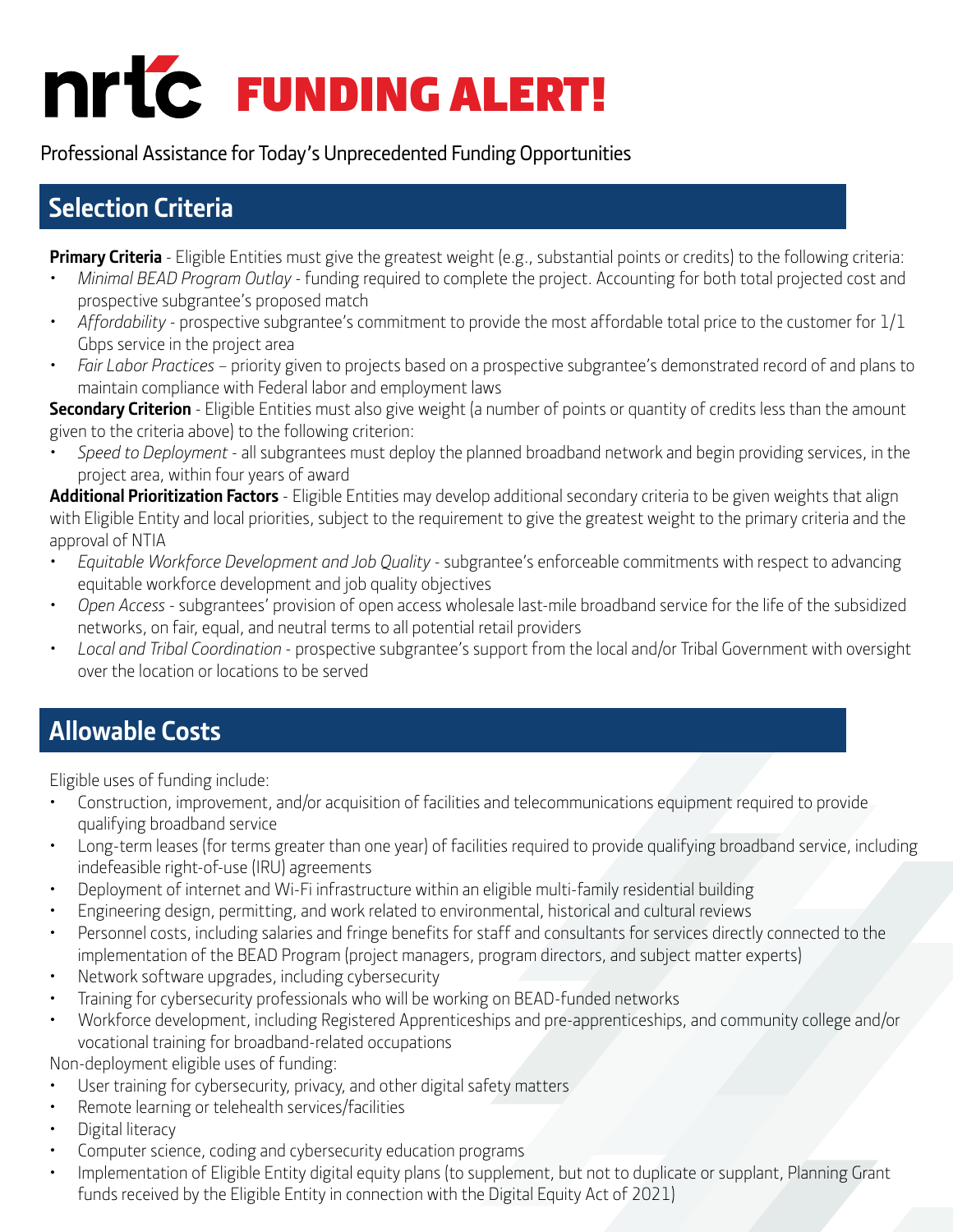## FUNDING ALERT!

Professional Assistance for Today's Unprecedented Funding Opportunities

## **Selection Criteria**

**Primary Criteria** - Eligible Entities must give the greatest weight (e.g., substantial points or credits) to the following criteria:

- *• Minimal BEAD Program Outlay* funding required to complete the project. Accounting for both total projected cost and prospective subgrantee's proposed match
- *• Affordability* prospective subgrantee's commitment to provide the most affordable total price to the customer for 1/1 Gbps service in the project area
- *• Fair Labor Practices* priority given to projects based on a prospective subgrantee's demonstrated record of and plans to maintain compliance with Federal labor and employment laws

**Secondary Criterion** - Eligible Entities must also give weight (a number of points or quantity of credits less than the amount given to the criteria above) to the following criterion:

*• Speed to Deployment* - all subgrantees must deploy the planned broadband network and begin providing services, in the project area, within four years of award

**Additional Prioritization Factors** - Eligible Entities may develop additional secondary criteria to be given weights that align with Eligible Entity and local priorities, subject to the requirement to give the greatest weight to the primary criteria and the approval of NTIA

- *• Equitable Workforce Development and Job Quality* subgrantee's enforceable commitments with respect to advancing equitable workforce development and job quality objectives
- *• Open Access* subgrantees' provision of open access wholesale last-mile broadband service for the life of the subsidized networks, on fair, equal, and neutral terms to all potential retail providers
- *• Local and Tribal Coordination* prospective subgrantee's support from the local and/or Tribal Government with oversight over the location or locations to be served

## **Allowable Costs**

Eligible uses of funding include:

- Construction, improvement, and/or acquisition of facilities and telecommunications equipment required to provide qualifying broadband service
- Long-term leases (for terms greater than one year) of facilities required to provide qualifying broadband service, including indefeasible right-of-use (IRU) agreements
- Deployment of internet and Wi-Fi infrastructure within an eligible multi-family residential building
- Engineering design, permitting, and work related to environmental, historical and cultural reviews
- Personnel costs, including salaries and fringe benefits for staff and consultants for services directly connected to the implementation of the BEAD Program (project managers, program directors, and subject matter experts)
- Network software upgrades, including cybersecurity
- Training for cybersecurity professionals who will be working on BEAD-funded networks
- Workforce development, including Registered Apprenticeships and pre-apprenticeships, and community college and/or vocational training for broadband-related occupations

Non-deployment eligible uses of funding:

- User training for cybersecurity, privacy, and other digital safety matters
- Remote learning or telehealth services/facilities
- Digital literacy
- Computer science, coding and cybersecurity education programs
- Implementation of Eligible Entity digital equity plans (to supplement, but not to duplicate or supplant, Planning Grant funds received by the Eligible Entity in connection with the Digital Equity Act of 2021)